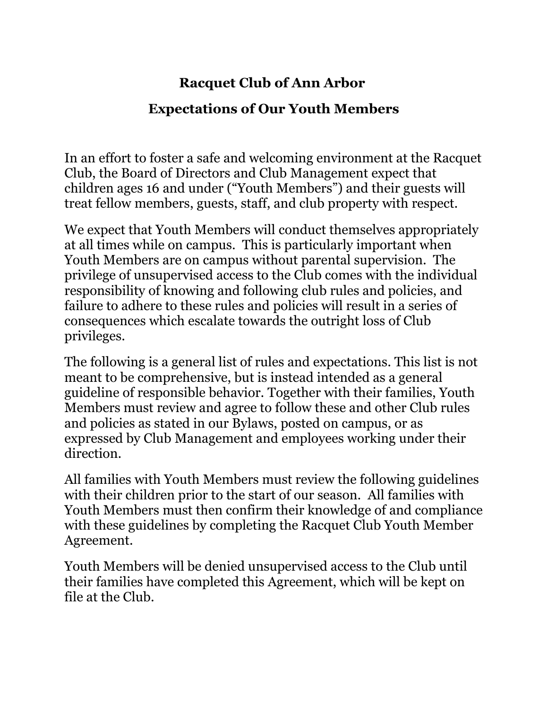#### **Racquet Club of Ann Arbor**

#### **Expectations of Our Youth Members**

In an effort to foster a safe and welcoming environment at the Racquet Club, the Board of Directors and Club Management expect that children ages 16 and under ("Youth Members") and their guests will treat fellow members, guests, staff, and club property with respect.

We expect that Youth Members will conduct themselves appropriately at all times while on campus. This is particularly important when Youth Members are on campus without parental supervision. The privilege of unsupervised access to the Club comes with the individual responsibility of knowing and following club rules and policies, and failure to adhere to these rules and policies will result in a series of consequences which escalate towards the outright loss of Club privileges.

The following is a general list of rules and expectations. This list is not meant to be comprehensive, but is instead intended as a general guideline of responsible behavior. Together with their families, Youth Members must review and agree to follow these and other Club rules and policies as stated in our Bylaws, posted on campus, or as expressed by Club Management and employees working under their direction.

All families with Youth Members must review the following guidelines with their children prior to the start of our season. All families with Youth Members must then confirm their knowledge of and compliance with these guidelines by completing the Racquet Club Youth Member Agreement.

Youth Members will be denied unsupervised access to the Club until their families have completed this Agreement, which will be kept on file at the Club.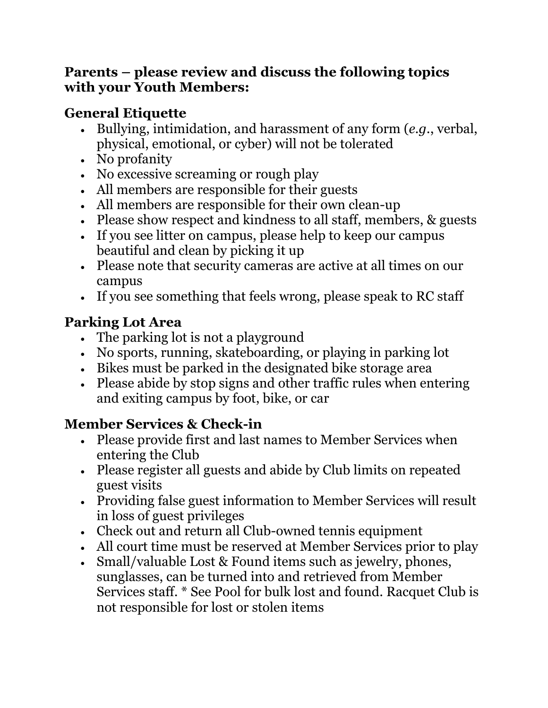#### **Parents – please review and discuss the following topics with your Youth Members:**

#### **General Etiquette**

- Bullying, intimidation, and harassment of any form (*e.g.*, verbal, physical, emotional, or cyber) will not be tolerated
- No profanity
- No excessive screaming or rough play
- All members are responsible for their guests
- All members are responsible for their own clean-up
- Please show respect and kindness to all staff, members, & guests
- If you see litter on campus, please help to keep our campus beautiful and clean by picking it up
- Please note that security cameras are active at all times on our campus
- If you see something that feels wrong, please speak to RC staff

#### **Parking Lot Area**

- The parking lot is not a playground
- No sports, running, skateboarding, or playing in parking lot
- Bikes must be parked in the designated bike storage area
- Please abide by stop signs and other traffic rules when entering and exiting campus by foot, bike, or car

# **Member Services & Check-in**

- Please provide first and last names to Member Services when entering the Club
- Please register all guests and abide by Club limits on repeated guest visits
- Providing false guest information to Member Services will result in loss of guest privileges
- Check out and return all Club-owned tennis equipment
- All court time must be reserved at Member Services prior to play
- Small/valuable Lost & Found items such as jewelry, phones, sunglasses, can be turned into and retrieved from Member Services staff. \* See Pool for bulk lost and found. Racquet Club is not responsible for lost or stolen items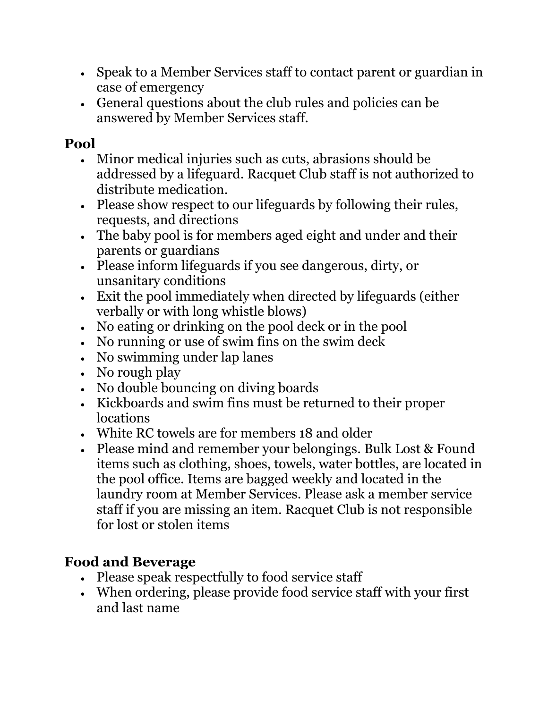- Speak to a Member Services staff to contact parent or guardian in case of emergency
- General questions about the club rules and policies can be answered by Member Services staff.

#### **Pool**

- Minor medical injuries such as cuts, abrasions should be addressed by a lifeguard. Racquet Club staff is not authorized to distribute medication.
- Please show respect to our lifeguards by following their rules, requests, and directions
- The baby pool is for members aged eight and under and their parents or guardians
- Please inform lifeguards if you see dangerous, dirty, or unsanitary conditions
- Exit the pool immediately when directed by lifeguards (either verbally or with long whistle blows)
- No eating or drinking on the pool deck or in the pool
- No running or use of swim fins on the swim deck
- No swimming under lap lanes
- No rough play
- No double bouncing on diving boards
- Kickboards and swim fins must be returned to their proper locations
- White RC towels are for members 18 and older
- Please mind and remember your belongings. Bulk Lost & Found items such as clothing, shoes, towels, water bottles, are located in the pool office. Items are bagged weekly and located in the laundry room at Member Services. Please ask a member service staff if you are missing an item. Racquet Club is not responsible for lost or stolen items

# **Food and Beverage**

- Please speak respectfully to food service staff
- When ordering, please provide food service staff with your first and last name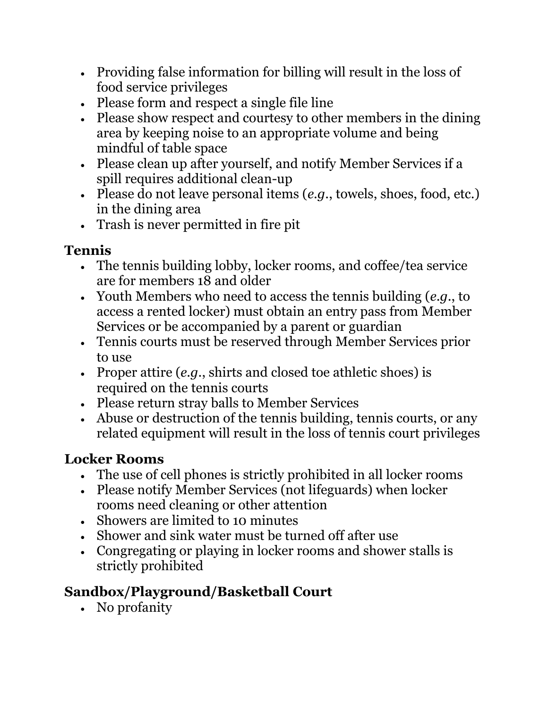- Providing false information for billing will result in the loss of food service privileges
- Please form and respect a single file line
- Please show respect and courtesy to other members in the dining area by keeping noise to an appropriate volume and being mindful of table space
- Please clean up after yourself, and notify Member Services if a spill requires additional clean-up
- Please do not leave personal items (*e.g.*, towels, shoes, food, etc.) in the dining area
- Trash is never permitted in fire pit

# **Tennis**

- The tennis building lobby, locker rooms, and coffee/tea service are for members 18 and older
- Youth Members who need to access the tennis building (*e.g.*, to access a rented locker) must obtain an entry pass from Member Services or be accompanied by a parent or guardian
- Tennis courts must be reserved through Member Services prior to use
- Proper attire (*e.g.*, shirts and closed toe athletic shoes) is required on the tennis courts
- Please return stray balls to Member Services
- Abuse or destruction of the tennis building, tennis courts, or any related equipment will result in the loss of tennis court privileges

# **Locker Rooms**

- The use of cell phones is strictly prohibited in all locker rooms
- Please notify Member Services (not lifeguards) when locker rooms need cleaning or other attention
- Showers are limited to 10 minutes
- Shower and sink water must be turned off after use
- Congregating or playing in locker rooms and shower stalls is strictly prohibited

# **Sandbox/Playground/Basketball Court**

• No profanity